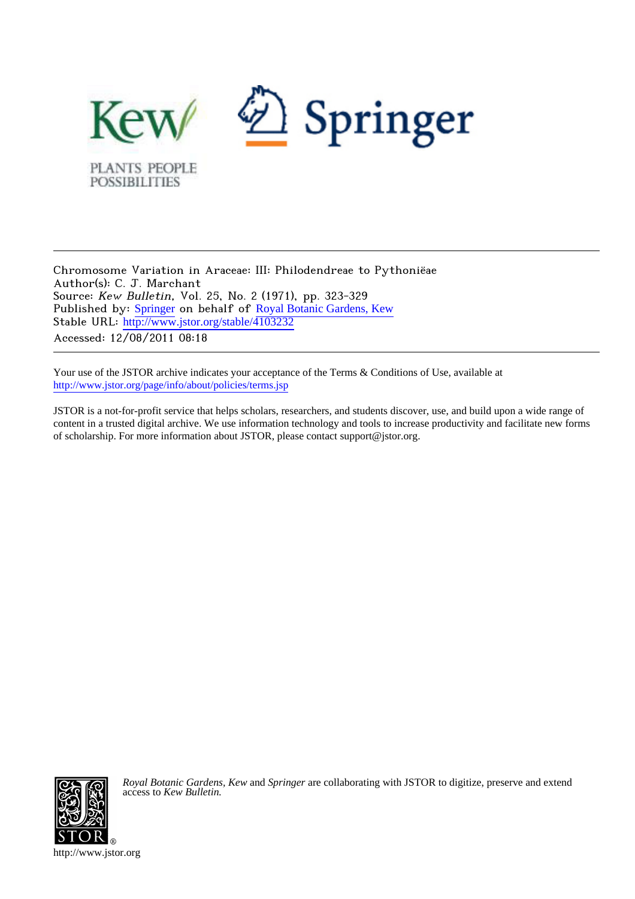

Chromosome Variation in Araceae: III: Philodendreae to Pythoniëae Author(s): C. J. Marchant Source: Kew Bulletin, Vol. 25, No. 2 (1971), pp. 323-329 Published by: [Springer](http://www.jstor.org/action/showPublisher?publisherCode=springer) on behalf of [Royal Botanic Gardens, Kew](http://www.jstor.org/action/showPublisher?publisherCode=kew) Stable URL: [http://www.jstor.org/stable/4103232](http://www.jstor.org/stable/4103232?origin=JSTOR-pdf) Accessed: 12/08/2011 08:18

Your use of the JSTOR archive indicates your acceptance of the Terms & Conditions of Use, available at <http://www.jstor.org/page/info/about/policies/terms.jsp>

JSTOR is a not-for-profit service that helps scholars, researchers, and students discover, use, and build upon a wide range of content in a trusted digital archive. We use information technology and tools to increase productivity and facilitate new forms of scholarship. For more information about JSTOR, please contact support@jstor.org.



*Royal Botanic Gardens, Kew* and *Springer* are collaborating with JSTOR to digitize, preserve and extend access to *Kew Bulletin.*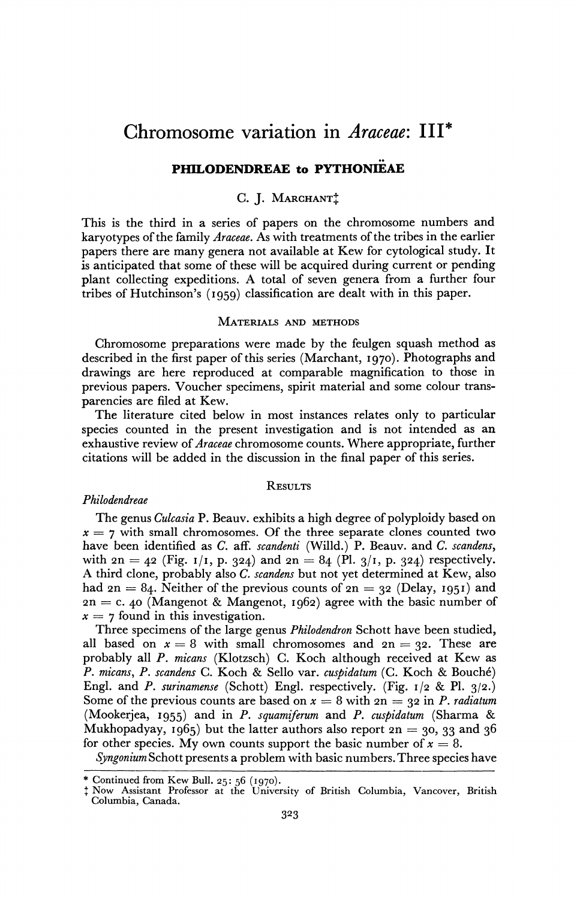# **Chromosome variation in Araceae: III\***

## **PHILODENDREAE to PYTHONIEAE**

## C. J. MARCHANT<sup>+</sup>

**This is the third in a series of papers on the chromosome numbers and karyotypes of the family Araceae. As with treatments of the tribes in the earlier papers there are many genera not available at Kew for cytological study. It is anticipated that some of these will be acquired during current or pending plant collecting expeditions. A total of seven genera from a further four tribes of Hutchinson's (I959) classification are dealt with in this paper.** 

#### **MATERIALS AND METHODS**

**Chromosome preparations were made by the feulgen squash method as described in the first paper of this series (Marchant, 1970). Photographs and drawings are here reproduced at comparable magnification to those in previous papers. Voucher specimens, spirit material and some colour transparencies are filed at Kew.** 

**The literature cited below in most instances relates only to particular species counted in the present investigation and is not intended as an exhaustive review of Araceae chromosome counts. Where appropriate, further citations will be added in the discussion in the final paper of this series.** 

## **RESULTS**

### **Philodendreae**

**The genus Culcasia P. Beauv. exhibits a high degree of polyploidy based on x = 7 with small chromosomes. Of the three separate clones counted two have been identified as C. aff. scandenti (Willd.) P. Beauv. and C. scandens,**  with  $2n = 42$  (Fig.  $1/1$ , p. 324) and  $2n = 84$  (Pl.  $3/1$ , p. 324) respectively. **A third clone, probably also C. scandens but not yet determined at Kew, also**  had  $2n = 84$ . Neither of the previous counts of  $2n = 32$  (Delay, 1951) and **2n = c. 40 (Mangenot & Mangenot, 1962) agree with the basic number of**   $x = 7$  found in this investigation.

**Three specimens of the large genus Philodendron Schott have been studied,**  all based on  $x = 8$  with small chromosomes and  $2n = 32$ . These are **probably all P. micans (Klotzsch) C. Koch although received at Kew as P. micans, P. scandens C. Koch & Sello var. cuspidatum (C. Koch & Bouch6) Engl. and P. surinamense (Schott) Engl. respectively. (Fig. I/2 & P1. 3/2.)**  Some of the previous counts are based on  $x = 8$  with  $2n = 32$  in P. *radiatum* **(Mookerjea, I955) and in P. squamiferum and P. cuspidatum (Sharma & Mukhopadyay, 1965) but the latter authors also report 2n = 30, 33 and 36**  for other species. My own counts support the basic number of  $x = 8$ .

**Syngonium Schott presents a problem with basic numbers. Three species have** 

**<sup>\*</sup> Continued from Kew Bull. 25: 56 (1970). t Now Assistant Professor at the University of British Columbia, Vancover, British Columbia, Canada.**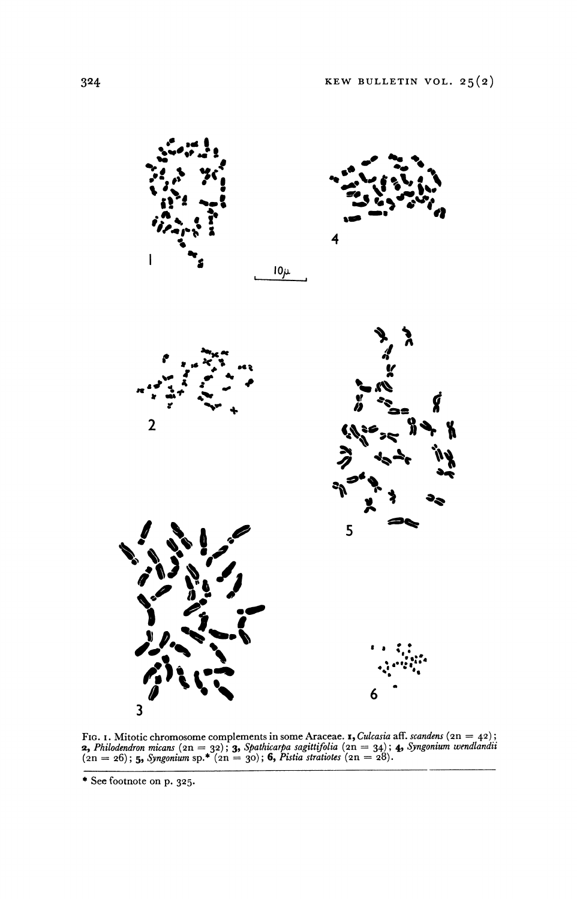

**FIG. 1. Mitotic chromosome complements in some Araceae. <b>1,** Culcasia aff. scandens  $(2n = 42)$ ; **2, Philodendron micans (2n = 32); 3, Spathicarpa sagittifolia (2n = 34); 4, Syngonium wendlandii (2n = 26); 5, Syngonium sp.\* (2n = 30); 6, Pistia stratiotes (2n = 28).** 

**<sup>\*</sup> See footnote on p. 325.**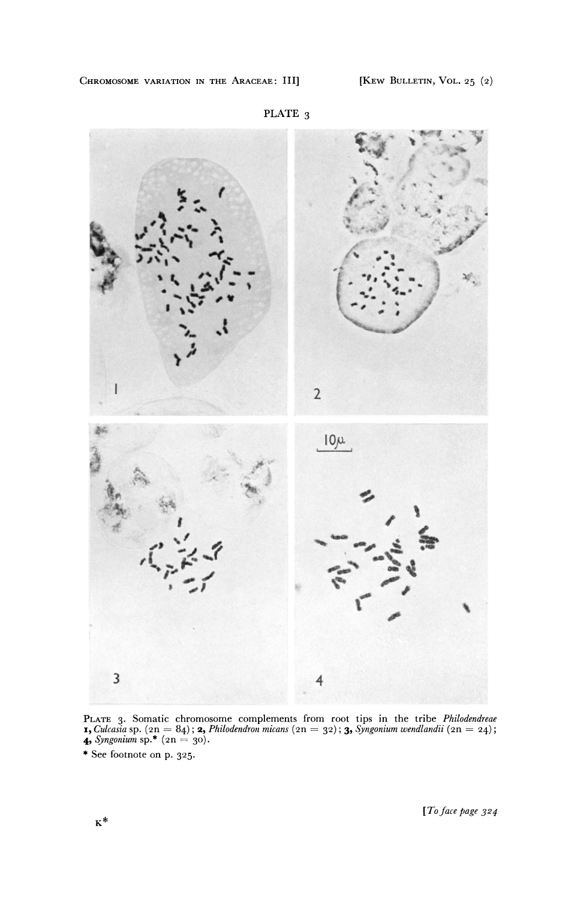

**PLATE 3** 

PLATE 3. Somatic chromosome complements from root tips in the tribe *Philodendreae*<br>**1,** Culcasia sp. (2n = 84); **2,** Philodendron micans (2n = 32); **3,** Syngonium wendlandii (2n = 24);<br>**4,** Syngonium sp.\* (2n = 30).

**<sup>\*</sup> See footnote on p. 325-**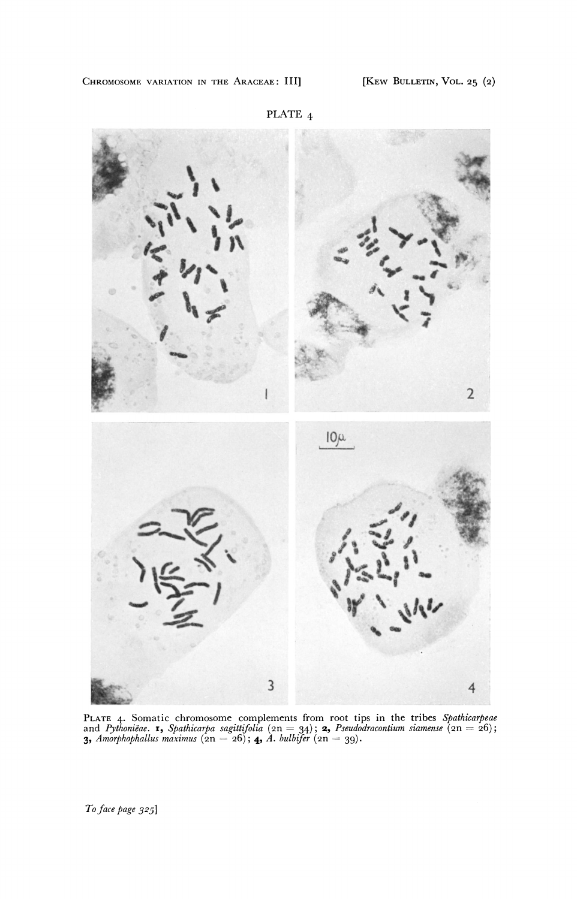

**PLATE 4. Somatic chromosome complements from root tips in the tribes Spathicarpeae**  and *Pythoniëae*. **1,** Spathicarpa sagittifolia (2n = 34); **2,** Pseudodracontium siamense (2n = 26);<br>**3,** Amorphophallus maximus (2n = 26); **4,** A. bulbifer (2n = 39).

**To face page 3251**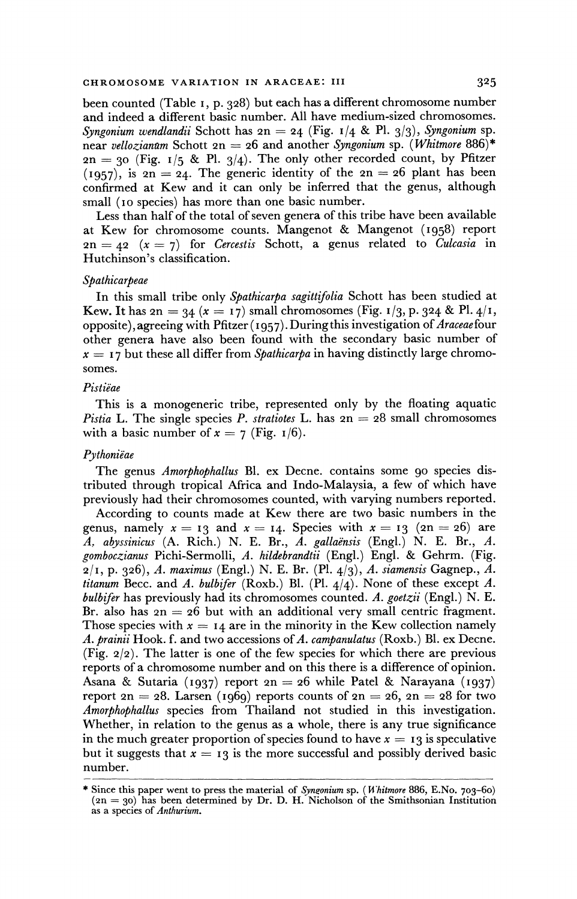**been counted (Table I, p. 328) but each has a different chromosome number and indeed a different basic number. All have medium-sized chromosomes.**  Syngonium wendlandii Schott has  $2n = 24$  (Fig.  $1/4$  & Pl.  $3/3$ ), Syngonium sp. **near vellozianam Schott 2n = 26 and another Syngonium sp. (Whitmore 886)\***   $2n = 30$  (Fig. 1/5 & Pl. 3/4). The only other recorded count, by Pfitzer **(1957), is 2n = 24. The generic identity of the 2n = 26 plant has been confirmed at Kew and it can only be inferred that the genus, although small (Io species) has more than one basic number.** 

**Less than half of the total of seven genera of this tribe have been available at Kew for chromosome counts. Mangenot & Mangenot (1958) report**   $2n = 42$  ( $x = 7$ ) for *Cercestis* Schott, a genus related to *Culcasia* in **Hutchinson's classification.** 

#### **Spathicarpeae**

**In this small tribe only Spathicarpa sagittifolia Schott has been studied at Kew. It has 2n = 34 (x = 17) small chromosomes (Fig. 1/3, p. 324 & Pl. 4/1, opposite), agreeing with Pfitzer ( I957). During this investigation of Araceae four other genera have also been found with the secondary basic number of**   $x = 17$  but these all differ from *Spathicarpa* in having distinctly large chromo**somes.** 

#### **Pistiiae**

**This is a monogeneric tribe, represented only by the floating aquatic**  Pistia L. The single species P. stratiotes L. has  $2n = 28$  small chromosomes with a basic number of  $x = 7$  (Fig. 1/6).

#### **Pythoniëae**

**The genus Amorphophallus Bl. ex Decne. contains some 90 species distributed through tropical Africa and Indo-Malaysia, a few of which have previously had their chromosomes counted, with varying numbers reported.** 

**According to counts made at Kew there are two basic numbers in the**  genus, namely  $x = 13$  and  $x = 14$ . Species with  $x = 13$  (2n = 26) are A. abyssinicus (A. Rich.) N. E. Br., A. gallaensis (Engl.) N. E. Br., A. **gomboczianus Pichi-Sermolli, A. hildebrandtii (Engl.) Engl. & Gehrm. (Fig. 2/I, p. 326), A. maximus (Engl.) N. E. Br. (P1. 4/3), A. siamensis Gagnep., A.**  *titanum* Becc. and A. *bulbifer* (Roxb.) Bl. (Pl.  $4/4$ ). None of these except A. **bulbifer has previously had its chromosomes counted. A. goetzii (Engl.) N. E.**  Br. also has  $2n = 26$  but with an additional very small centric fragment. Those species with  $x = 14$  are in the minority in the Kew collection namely A. prainii Hook. f. and two accessions of A. campanulatus (Roxb.) Bl. ex Decne. **(Fig. 2/2). The latter is one of the few species for which there are previous reports of a chromosome number and on this there is a difference of opinion. Asana & Sutaria (1937) report 2n = 26 while Patel & Narayana (1937) report 2n = 28. Larsen** (1969) reports counts of  $2n = 26$ ,  $2n = 28$  for two **Amorphophallus species from Thailand not studied in this investigation. Whether, in relation to the genus as a whole, there is any true significance**  in the much greater proportion of species found to have  $x = 13$  is speculative but it suggests that  $x = 13$  is the more successful and possibly derived basic **number.** 

**<sup>\*</sup> Since this paper went to press the material of Synronium sp. ( Whitmore 886, E.No. 703-60) (2n = 30) has been determined by Dr. D. H. Nicholson of the Smithsonian Institution as a species of Anthurium.**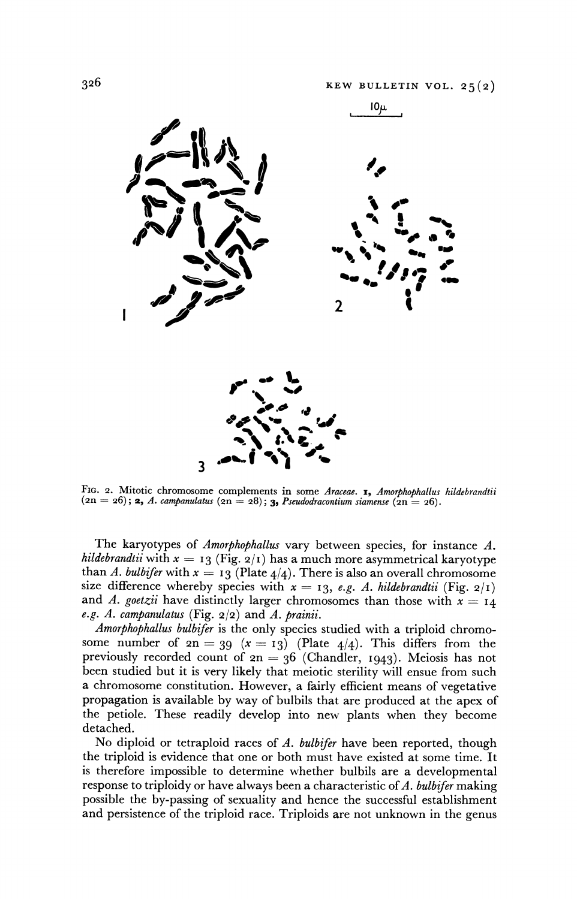

FIG. 2. Mitotic chromosome complements in some Araceae. 1, Amorphophallus hildebrandtii **(2n = 26); 2, A. campanulatus (2n = 28); 3, Pseudodracontium siamense (2n = 26).** 

**The karyotypes of Amorphophallus vary between species, for instance A.**  *hildebrandtii* with  $x = 13$  (Fig.  $2/1$ ) has a much more asymmetrical karyotype than A. bulbifer with  $x = 13$  (Plate  $4/4$ ). There is also an overall chromosome size difference whereby species with  $x = 13$ , e.g. A. hildebrandtii (Fig.  $2/1$ ) and A. goetzii have distinctly larger chromosomes than those with  $x = 14$ **e.g. A. campanulatus (Fig. 2/2) and A. prainii.** 

**Amorphophallus bulbifer is the only species studied with a triploid chromo**some number of  $2n = 39$   $(x = 13)$  (Plate  $4/4$ ). This differs from the **previously recorded count of 2n = 36 (Chandler, 1943). Meiosis has not been studied but it is very likely that meiotic sterility will ensue from such a chromosome constitution. However, a fairly efficient means of vegetative propagation is available by way of bulbils that are produced at the apex of the petiole. These readily develop into new plants when they become detached.** 

**No diploid or tetraploid races of A. bulbifer have been reported, though the triploid is evidence that one or both must have existed at some time. It is therefore impossible to determine whether bulbils are a developmental response to triploidy or have always been a characteristic of A. bulbifer making possible the by-passing of sexuality and hence the successful establishment and persistence of the triploid race. Triploids are not unknown in the genus**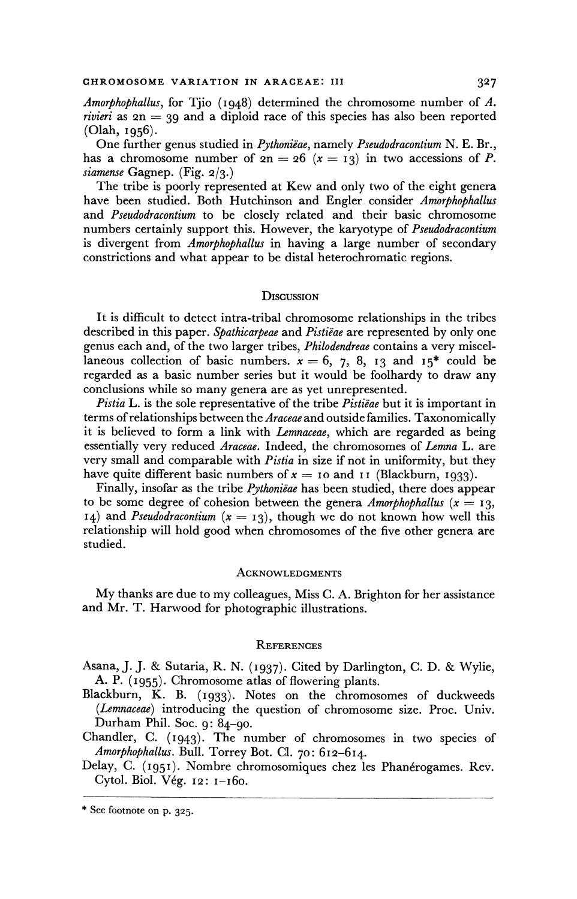**Amorphophallus, for Tjio (1948) determined the chromosome number of A. rivieri as 2n = 39 and a diploid race of this species has also been reported (Olah, 1956).** 

One further genus studied in Pythoniëae, namely Pseudodracontium N. E. Br., has a chromosome number of  $2n = 26$   $(x = 13)$  in two accessions of *P*. *siamense* Gagnep. (Fig. 2/3.)

The tribe is poorly represented at Kew and only two of the eight genera **have been studied. Both Hutchinson and Engler consider Amorphophallus and Pseudodracontium tobe closely related and their basic chromosome numbers certainly support this. However, the karyotype of Pseudodracontium is divergent from Amorphophallus in having a large number of secondary constrictions and what appear to be distal heterochromatic regions.** 

#### **DIscussION**

**It is difficult to detect intra-tribal chromosome relationships in the tribes described in this paper. Spathicarpeae and Pistieae are represented by only one genus each and, of the two larger tribes, Philodendreae contains a very miscel**laneous collection of basic numbers.  $x = 6, 7, 8, 13$  and  $15^*$  could be **regarded as a basic number series but it would be foolhardy to draw any conclusions while so many genera are as yet unrepresented.** 

Pistia L. is the sole representative of the tribe *Pistiëae* but it is important in **terms of relationships between the Araceae and outside families. Taxonomically it is believed to form a link with Lemnaceae, which are regarded as being essentially very reduced Araceae. Indeed, the chromosomes of Lemna L. are very small and comparable with Pistia in size if not in uniformity, but they**  have quite different basic numbers of  $x = 10$  and **11** (Blackburn, 1933).

Finally, insofar as the tribe *Pythoniëae* has been studied, there does appear to be some degree of cohesion between the genera *Amorphophallus* ( $x = 13$ , **14)** and *Pseudodracontium*  $(x = 13)$ , though we do not known how well this **relationship will hold good when chromosomes of the five other genera are studied.** 

#### **ACKNOWLEDGMENTS**

**My thanks are due to my colleagues, Miss C. A. Brighton for her assistance and Mr. T. Harwood for photographic illustrations.** 

#### **REFERENCES**

**Asana, J. J. & Sutaria, R. N. (I937). Cited by Darlington, C. D. & Wylie, A. P. (I955). Chromosome atlas of flowering plants.** 

**Blackburn, K. B. (I933). Notes on the chromosomes of duckweeds (Lemnaceae) introducing the question of chromosome size. Proc. Univ. Durham Phil. Soc. 9: 84-90.** 

**Chandler, C. (I943). The number of chromosomes in two species of Amorphophallus. Bull. Torrey Bot. Cl. 70: 612-614.** 

Delay, C. (1951). Nombre chromosomiques chez les Phanérogames. Rev. **Cytol. Biol. V6g. 12: i-i60.** 

**<sup>\*</sup> See footnote on p. 325.**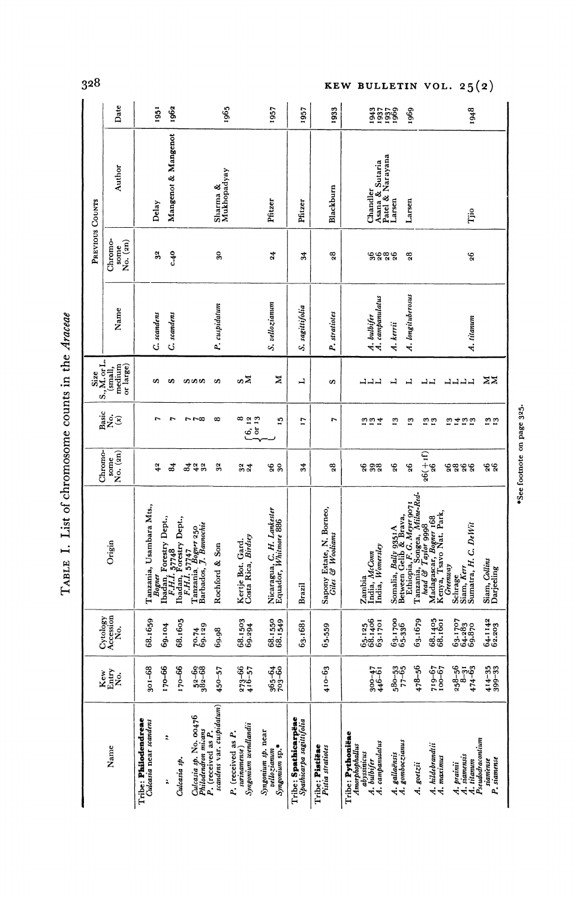|                 | Date                                                                                                                            |                                                | 1951<br>1962         |                |                                                                                                                                      | 1965           |                                                            | 1957                                                | 1957                                             | 1933                                          | 33599                                                                                      |                                  | 1969              |                                                                                                                                                                                         |            | 1948                                                         |                             |                            |
|-----------------|---------------------------------------------------------------------------------------------------------------------------------|------------------------------------------------|----------------------|----------------|--------------------------------------------------------------------------------------------------------------------------------------|----------------|------------------------------------------------------------|-----------------------------------------------------|--------------------------------------------------|-----------------------------------------------|--------------------------------------------------------------------------------------------|----------------------------------|-------------------|-----------------------------------------------------------------------------------------------------------------------------------------------------------------------------------------|------------|--------------------------------------------------------------|-----------------------------|----------------------------|
|                 | Author                                                                                                                          | Mangenot & Mangenot<br>Delay                   |                      |                | Sharma &<br>Mukhopadyay                                                                                                              |                |                                                            | Pfitzer                                             | Pfitzer                                          | Blackburn                                     | Chandler<br>Asana & Sutaria<br>Patel & Narayana                                            | Larsen                           | Larsen            |                                                                                                                                                                                         |            | Tjio                                                         |                             |                            |
| PREVIOUS COUNTS | Chromo-<br>$\frac{\text{some}}{\text{No. (2n)}}$                                                                                |                                                | 32<br>$c + 40$       |                |                                                                                                                                      | $30\,$         |                                                            | 24                                                  | 24                                               | $\mathbf{23}$                                 | ಀೢಀೢಀೢಀೢ                                                                                   |                                  | $_{28}$           |                                                                                                                                                                                         |            | 96                                                           |                             |                            |
|                 | Name                                                                                                                            | C. scandens                                    | C. scandens          |                |                                                                                                                                      | P. cuspidatum  |                                                            | S. vellozianum                                      | S. sagutufolia                                   | P. stratiotes                                 | A. bulbifer<br>A. campanulatus                                                             | A. kerrii                        | A. longituberosus |                                                                                                                                                                                         |            | A. titanum                                                   |                             |                            |
|                 | $\begin{array}{c} {\bf Size}\\ {\bf S., M. or L.}\\ ({\bf small},\\ {\bf medium}\\ {\bf medium}\\ {\bf or~ large}) \end{array}$ | s                                              | s                    |                | ທທທ                                                                                                                                  | S              | ຜX                                                         | z                                                   | ᆜ                                                | s                                             | コココ                                                                                        | $\overline{1}$                   | H                 | 니니                                                                                                                                                                                      | ココココ       |                                                              | zz                          |                            |
|                 | $\underset{(x)}{\text{Basic}}$                                                                                                  |                                                | 1<br>$\overline{r}$  |                | $5 - 7$                                                                                                                              | െ              | $6.13$<br>$6.13$<br>خ ځ<br>ت                               | 51                                                  | 2                                                | r                                             | <b>997</b>                                                                                 | $\mathbf{r}_3$                   | $\mathbf{r}$      | $\substack{.2 \\ 1 \, 3}$                                                                                                                                                               | 2723       |                                                              | $\frac{5}{2}$               | *See footnote on page 325. |
|                 | $\begin{bmatrix} \text{some} \\ \text{No.} \ (\text{2n}) \end{bmatrix}$<br>Chromo-                                              |                                                | ತೆ<br>42             | $\overline{a}$ | $4^{2}_{32}$                                                                                                                         | 32             | 34                                                         | <b>88</b>                                           | 34                                               | $\mathbf{28}$                                 | <b>998</b>                                                                                 | 26                               | $\mathbf{5}^5$    | $26(+1)$<br>$26$                                                                                                                                                                        | 8888       |                                                              | 26<br>26                    |                            |
|                 | Origin                                                                                                                          | Tanzania, Usambara Mts.,                       |                      |                | Bogner<br>Refl., 57748<br>F.H.I. 57748<br>Badan, Forestry Dept.,<br>Tanzalia, 5747<br>Tanzalia, J. Bamochie<br>Barbados, J. Bamochie | Rochford & Son | Kertje Bot. Gard.<br>Costa Rica, Birdsey                   | Nicaragua, C. H. Lankester<br>Equador, Whitmore 886 | Brazil                                           | Sapony Estate, N. Borneo,<br>Giles & Wooliams | Zambia<br>India, <i>McCom</i><br>India, <i>Womersley</i>                                   |                                  |                   | Somalia, Bally 9351 A<br>Ethiopia, F. G. Meyer 9071<br>Tanzania, Songea, Milhe-Rel-<br>Maad & Taylor 99918<br>Maad & Taylor 99918<br>Menya, Tsavo Nat. Park,<br>Kenya, Tsavo Nat. Park, | Greenway   | Schrage<br>Siam, <i>Kerr</i><br>Sumatra, H. C. DeWit         | Siam, Collins<br>Darjeeling |                            |
|                 | Cytology<br>Accession<br>No.                                                                                                    | 68.1659                                        | 69.104               | 68.1605        | $70.74$<br>$69.129$                                                                                                                  | 69.98          | $68.1503$<br>$69.294$                                      | 68.1550<br>68.1549                                  | 63.1681                                          | 65.559                                        | $65.125$<br>$68.1406$<br>$63.1701$                                                         | $63.1700$<br>$65.336$            | 63.1679           | 68.1405<br>68.1601                                                                                                                                                                      |            | $63.1707$<br>$64.283$<br>$69.870$                            | $64.1142$<br>$62.203$       |                            |
|                 | $\frac{\text{Kew}}{\text{Mary}}$                                                                                                | $301 - 68$                                     | $170 - 66$           | $170 - 66$     | $382 - 69$<br>$382 - 68$                                                                                                             | $450 - 57$     | $273 - 66$<br>$416 - 57$                                   | 365-64<br>703-60                                    |                                                  | $410 - 63$                                    | $300 - 47$<br>$446 - 61$                                                                   | $580 - 53$<br>$77 - 65$          | $478 - 56$        | $719 - 67$<br>$79 - 67$                                                                                                                                                                 |            | $258 - 56$<br>$8 - 51$<br>$474 - 63$                         | $414 - 35$<br>$399 - 33$    |                            |
|                 | Name                                                                                                                            | Tribe: Philodendreae<br>Culcasia near scandens | $\ddot{\phantom{0}}$ | Culcasia sp.   | Culcasia sp. No. 00476<br>Philodendron mixans<br>P. (received as P.<br>scandens var. cuspidatum)                                     |                | Syngonium wendlandii<br>P. (received as P.<br>surinamense) | Syngonium sp. near<br>vellozianum<br>Syngonium sp.* | Tribe: Spathicarpëae<br>Spathicarpa sagittifolia | Tribe: Pistiëae<br>Pistia stratiotes          | Tribe: <b>Pythoniëae</b><br>Amorphophalus<br>abyssinicus<br>A. bulbifer<br>A. campanulatus | A. gallaënsis<br>A. gomboczianus | A. goetzii        | A. hildebrandtii                                                                                                                                                                        | A. maximus | A. prainii<br>A. siamensis<br>A. titanum<br>Pseudodracontium | siamense<br>P. siamense     |                            |

TABLE I. List of chromosome counts in the Araceae

328